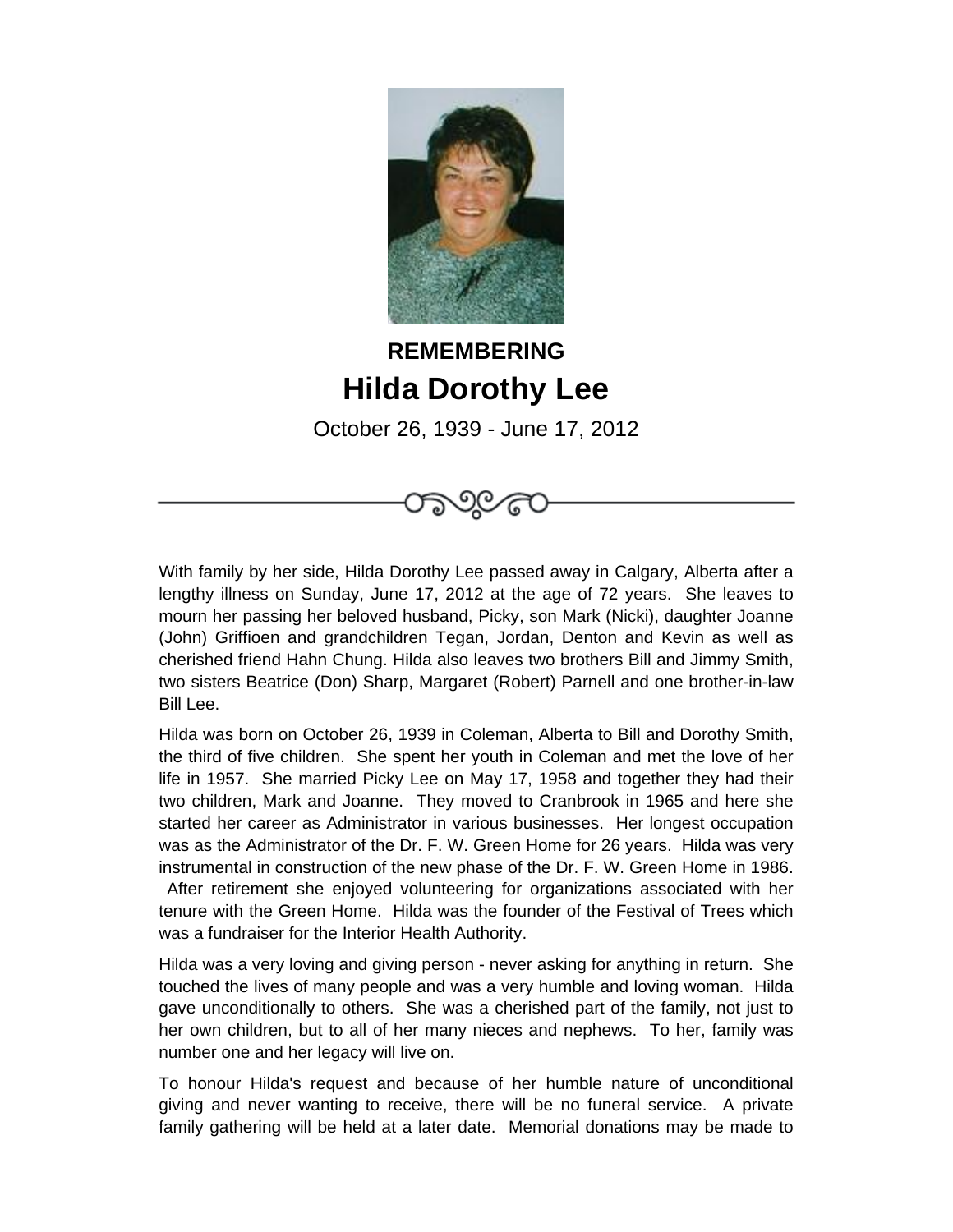

## **REMEMBERING Hilda Dorothy Lee**

October 26, 1939 - June 17, 2012

With family by her side, Hilda Dorothy Lee passed away in Calgary, Alberta after a lengthy illness on Sunday, June 17, 2012 at the age of 72 years. She leaves to mourn her passing her beloved husband, Picky, son Mark (Nicki), daughter Joanne (John) Griffioen and grandchildren Tegan, Jordan, Denton and Kevin as well as cherished friend Hahn Chung. Hilda also leaves two brothers Bill and Jimmy Smith, two sisters Beatrice (Don) Sharp, Margaret (Robert) Parnell and one brother-in-law Bill Lee.

Hilda was born on October 26, 1939 in Coleman, Alberta to Bill and Dorothy Smith, the third of five children. She spent her youth in Coleman and met the love of her life in 1957. She married Picky Lee on May 17, 1958 and together they had their two children, Mark and Joanne. They moved to Cranbrook in 1965 and here she started her career as Administrator in various businesses. Her longest occupation was as the Administrator of the Dr. F. W. Green Home for 26 years. Hilda was very instrumental in construction of the new phase of the Dr. F. W. Green Home in 1986. After retirement she enjoyed volunteering for organizations associated with her tenure with the Green Home. Hilda was the founder of the Festival of Trees which was a fundraiser for the Interior Health Authority.

Hilda was a very loving and giving person - never asking for anything in return. She touched the lives of many people and was a very humble and loving woman. Hilda gave unconditionally to others. She was a cherished part of the family, not just to her own children, but to all of her many nieces and nephews. To her, family was number one and her legacy will live on.

To honour Hilda's request and because of her humble nature of unconditional giving and never wanting to receive, there will be no funeral service. A private family gathering will be held at a later date. Memorial donations may be made to